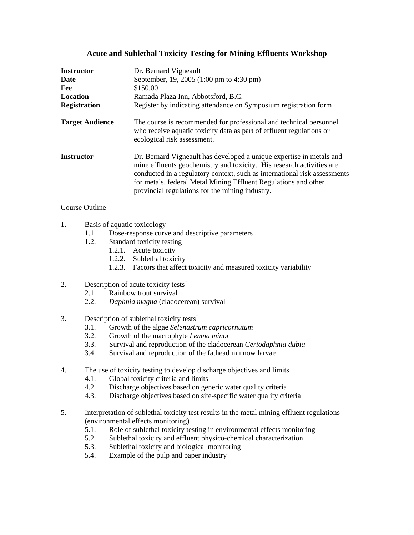## **Acute and Sublethal Toxicity Testing for Mining Effluents Workshop**

| <b>Instructor</b><br>Date<br>Fee<br>Location<br><b>Registration</b> | Dr. Bernard Vigneault<br>September, 19, 2005 (1:00 pm to 4:30 pm)<br>\$150.00<br>Ramada Plaza Inn, Abbotsford, B.C.<br>Register by indicating attendance on Symposium registration form                                                                                                                                                          |
|---------------------------------------------------------------------|--------------------------------------------------------------------------------------------------------------------------------------------------------------------------------------------------------------------------------------------------------------------------------------------------------------------------------------------------|
| <b>Target Audience</b>                                              | The course is recommended for professional and technical personnel<br>who receive aquatic toxicity data as part of effluent regulations or<br>ecological risk assessment.                                                                                                                                                                        |
| Instructor                                                          | Dr. Bernard Vigneault has developed a unique expertise in metals and<br>mine effluents geochemistry and toxicity. His research activities are<br>conducted in a regulatory context, such as international risk assessments<br>for metals, federal Metal Mining Effluent Regulations and other<br>provincial regulations for the mining industry. |

## Course Outline

- 1. Basis of aquatic toxicology
	- 1.1. Dose-response curve and descriptive parameters
	- 1.2. Standard toxicity testing
		- 1.2.1. Acute toxicity
		- 1.2.2. Sublethal toxicity
		- 1.2.3. Factors that affect toxicity and measured toxicity variability
- 2. Description of acute toxicity tests<sup>†</sup>
	- 2.1. Rainbow trout survival
	- 2.2. *Daphnia magna* (cladocerean) survival
- 3. Description of sublethal toxicity tests<sup> $\dagger$ </sup>
	- 3.1. Growth of the algae *Selenastrum capricornutum*
	- 3.2. Growth of the macrophyte *Lemna minor*
	- 3.3. Survival and reproduction of the cladocerean *Ceriodaphnia dubia*
	- 3.4. Survival and reproduction of the fathead minnow larvae
- 4. The use of toxicity testing to develop discharge objectives and limits
	- 4.1. Global toxicity criteria and limits
	- 4.2. Discharge objectives based on generic water quality criteria
	- 4.3. Discharge objectives based on site-specific water quality criteria
- 5. Interpretation of sublethal toxicity test results in the metal mining effluent regulations (environmental effects monitoring)
	- 5.1. Role of sublethal toxicity testing in environmental effects monitoring
	- 5.2. Sublethal toxicity and effluent physico-chemical characterization
	- 5.3. Sublethal toxicity and biological monitoring
	- 5.4. Example of the pulp and paper industry